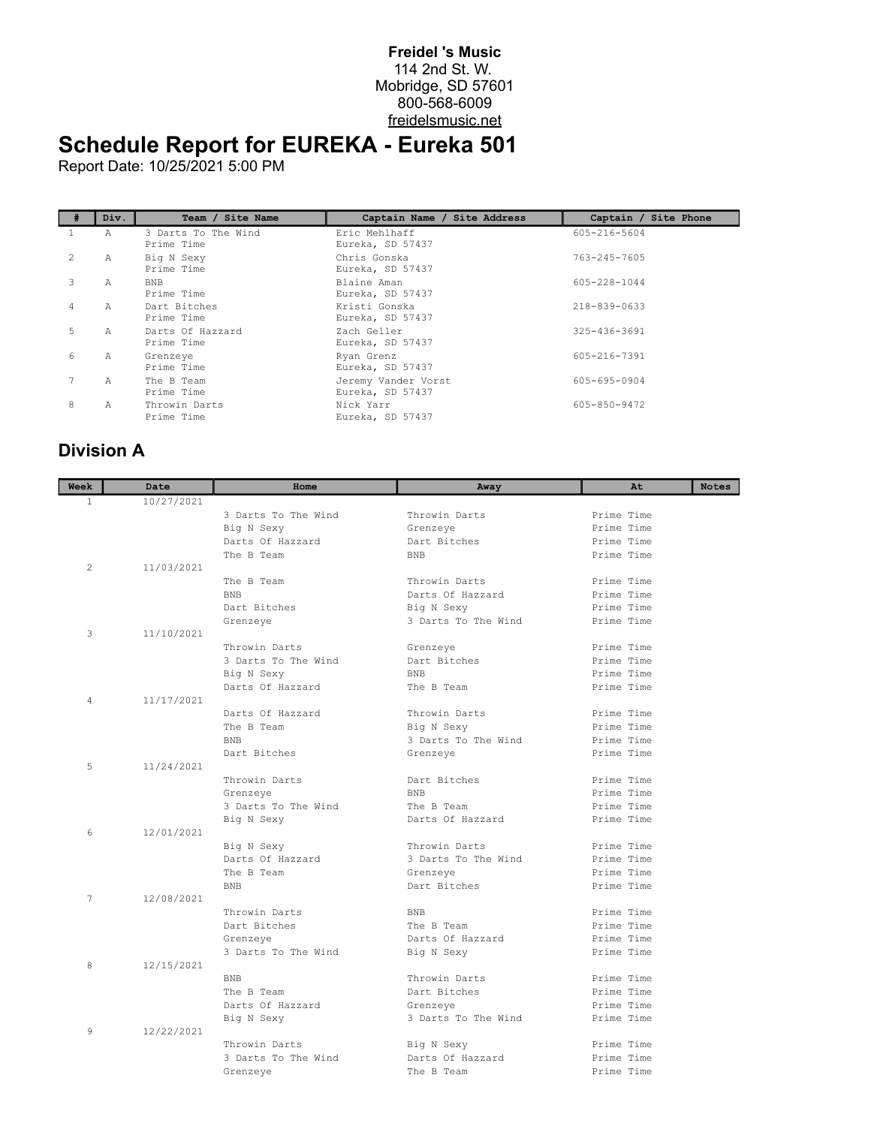## **Freidel 's Music** 114 2nd St. W. Mobridge, SD 57601 800-568-6009 freidelsmusic.net

## **Schedule Report for EUREKA - Eureka 501**

Report Date: 10/25/2021 5:00 PM

|               | Div.         | Team / Site Name                  | Captain Name / Site Address             | Captain / Site Phone |
|---------------|--------------|-----------------------------------|-----------------------------------------|----------------------|
| Τ.            | Α            | 3 Darts To The Wind<br>Prime Time | Eric Mehlhaff<br>Eureka, SD 57437       | 605-216-5604         |
| $\mathcal{L}$ | А            | Big N Sexy<br>Prime Time          | Chris Gonska<br>Eureka, SD 57437        | 763-245-7605         |
| 3             | А            | <b>BNB</b><br>Prime Time          | Blaine Aman<br>Eureka, SD 57437         | 605-228-1044         |
| 4             | $\mathbb{A}$ | Dart Bitches<br>Prime Time        | Kristi Gonska<br>Eureka, SD 57437       | 218-839-0633         |
| 5             | Α            | Darts Of Hazzard<br>Prime Time    | Zach Geller<br>Eureka, SD 57437         | 325-436-3691         |
| 6             | А            | Grenzeye<br>Prime Time            | Ryan Grenz<br>Eureka, SD 57437          | 605-216-7391         |
|               | Α            | The B Team<br>Prime Time          | Jeremy Vander Vorst<br>Eureka, SD 57437 | 605-695-0904         |
| 8             | A            | Throwin Darts<br>Prime Time       | Nick Yarr<br>Eureka, SD 57437           | 605-850-9472         |

## **Division A**

| Week           | Date       | Home                | Away                           | At         | <b>Notes</b> |
|----------------|------------|---------------------|--------------------------------|------------|--------------|
| $\mathbf{1}$   | 10/27/2021 |                     |                                |            |              |
|                |            | 3 Darts To The Wind | Throwin Darts                  | Prime Time |              |
|                |            | Big N Sexy          | Grenzeye                       | Prime Time |              |
|                |            | Darts Of Hazzard    | Dart Bitches                   | Prime Time |              |
|                |            | The B Team          | <b>BNB</b>                     | Prime Time |              |
| $\mathfrak{D}$ | 11/03/2021 |                     |                                |            |              |
|                |            | The B Team          | Throwin Darts                  | Prime Time |              |
|                |            | <b>BNB</b>          | Darts Of Hazzard               | Prime Time |              |
|                |            | Dart Bitches        | Big N Sexy                     | Prime Time |              |
|                |            | Grenzeye            | 3 Darts To The Wind            | Prime Time |              |
| 3              | 11/10/2021 |                     |                                |            |              |
|                |            | Throwin Darts       | Grenzeye                       | Prime Time |              |
|                |            | 3 Darts To The Wind | Dart Bitches                   | Prime Time |              |
|                |            | Big N Sexy          | <b>BNB</b>                     | Prime Time |              |
|                |            | Darts Of Hazzard    | The B Team                     | Prime Time |              |
| 4              | 11/17/2021 |                     |                                |            |              |
|                |            | Darts Of Hazzard    | Throwin Darts                  | Prime Time |              |
|                |            | The B Team          | Big N Sexy                     | Prime Time |              |
|                |            | <b>BNB</b>          | 3 Darts To The Wind            | Prime Time |              |
|                |            | Dart Bitches        | Grenzeye                       | Prime Time |              |
| 5              | 11/24/2021 |                     |                                |            |              |
|                |            | Throwin Darts       | Dart Bitches                   | Prime Time |              |
|                |            | Grenzeye            | <b>BNB</b>                     | Prime Time |              |
|                |            | 3 Darts To The Wind | The B Team                     | Prime Time |              |
|                |            | Big N Sexy          | Darts Of Hazzard               | Prime Time |              |
| 6              | 12/01/2021 |                     |                                |            |              |
|                |            | Big N Sexy          | Throwin Darts                  | Prime Time |              |
|                |            | Darts Of Hazzard    | 3 Darts To The Wind            | Prime Time |              |
|                |            | The B Team          | Grenzeye                       | Prime Time |              |
|                |            | <b>BNB</b>          | Dart Bitches                   | Prime Time |              |
| 7              | 12/08/2021 |                     |                                |            |              |
|                |            | Throwin Darts       | <b>BNB</b>                     | Prime Time |              |
|                |            | Dart Bitches        | The B Team                     | Prime Time |              |
|                |            | Grenzeye            | Darts Of Hazzard               | Prime Time |              |
|                |            | 3 Darts To The Wind | Big N Sexy                     | Prime Time |              |
| 8              | 12/15/2021 |                     |                                |            |              |
|                |            | <b>BNB</b>          | Throwin Darts                  | Prime Time |              |
|                |            | The B Team          | Dart Bitches                   | Prime Time |              |
|                |            | Darts Of Hazzard    | Grenzeye                       | Prime Time |              |
|                |            | Big N Sexy          | 3 Darts To The Wind            | Prime Time |              |
| 9              | 12/22/2021 | Throwin Darts       |                                | Prime Time |              |
|                |            | 3 Darts To The Wind | Big N Sexy<br>Darts Of Hazzard | Prime Time |              |
|                |            |                     | The B Team                     | Prime Time |              |
|                |            | Grenzeye            |                                |            |              |